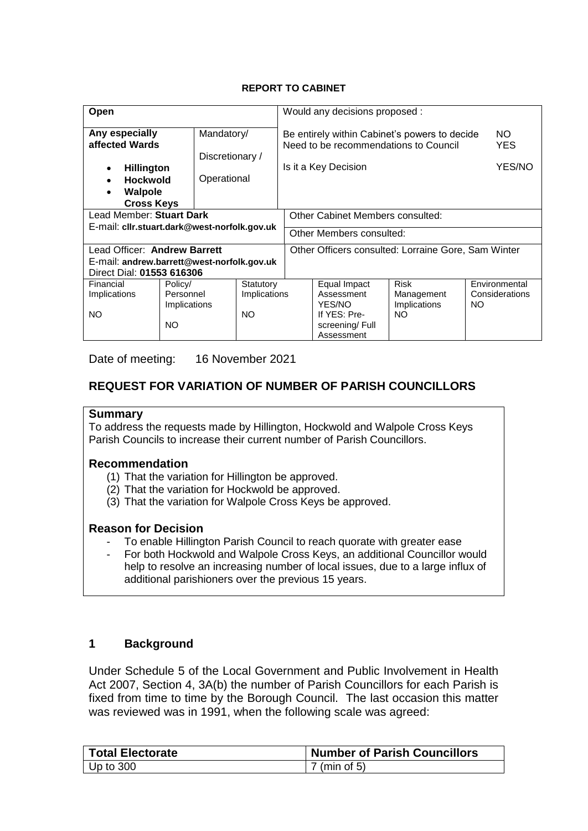### **REPORT TO CABINET**

| Open                                           |                                              | Would any decisions proposed :                                                         |                                                     |                      |              |                |  |
|------------------------------------------------|----------------------------------------------|----------------------------------------------------------------------------------------|-----------------------------------------------------|----------------------|--------------|----------------|--|
| Any especially<br>Mandatory/<br>affected Wards |                                              | Be entirely within Cabinet's powers to decide<br>Need to be recommendations to Council | NO.<br><b>YES</b>                                   |                      |              |                |  |
|                                                | Discretionary /                              |                                                                                        |                                                     |                      |              |                |  |
| <b>Hillington</b><br>$\bullet$                 |                                              |                                                                                        |                                                     | Is it a Key Decision |              | YES/NO         |  |
| Operational<br><b>Hockwold</b><br>$\bullet$    |                                              |                                                                                        |                                                     |                      |              |                |  |
| <b>Walpole</b><br>٠                            |                                              |                                                                                        |                                                     |                      |              |                |  |
| <b>Cross Keys</b>                              |                                              |                                                                                        |                                                     |                      |              |                |  |
| Lead Member: Stuart Dark                       |                                              | Other Cabinet Members consulted:                                                       |                                                     |                      |              |                |  |
|                                                | E-mail: cllr.stuart.dark@west-norfolk.gov.uk |                                                                                        |                                                     |                      |              |                |  |
|                                                |                                              | Other Members consulted:                                                               |                                                     |                      |              |                |  |
| Lead Officer: Andrew Barrett                   |                                              |                                                                                        | Other Officers consulted: Lorraine Gore, Sam Winter |                      |              |                |  |
| E-mail: andrew.barrett@west-norfolk.gov.uk     |                                              |                                                                                        |                                                     |                      |              |                |  |
| Direct Dial: 01553 616306                      |                                              |                                                                                        |                                                     |                      |              |                |  |
| Financial                                      | Policy/                                      | Statutory                                                                              |                                                     | Equal Impact         | <b>Risk</b>  | Environmental  |  |
| Implications                                   | Personnel                                    | Implications                                                                           |                                                     | Assessment           | Management   | Considerations |  |
|                                                | Implications                                 |                                                                                        |                                                     | YES/NO               | Implications | NO.            |  |
| <b>NO</b>                                      |                                              | NO.                                                                                    |                                                     | If YES: Pre-<br>NO.  |              |                |  |
|                                                | NO.                                          |                                                                                        |                                                     | screening/Full       |              |                |  |
|                                                |                                              |                                                                                        |                                                     | Assessment           |              |                |  |

Date of meeting: 16 November 2021

## **REQUEST FOR VARIATION OF NUMBER OF PARISH COUNCILLORS**

#### **Summary**

To address the requests made by Hillington, Hockwold and Walpole Cross Keys Parish Councils to increase their current number of Parish Councillors.

#### **Recommendation**

- (1) That the variation for Hillington be approved.
- (2) That the variation for Hockwold be approved.
- (3) That the variation for Walpole Cross Keys be approved.

#### **Reason for Decision**

- To enable Hillington Parish Council to reach quorate with greater ease
- For both Hockwold and Walpole Cross Keys, an additional Councillor would help to resolve an increasing number of local issues, due to a large influx of additional parishioners over the previous 15 years.

### **1 Background**

Under Schedule 5 of the Local Government and Public Involvement in Health Act 2007, Section 4, 3A(b) the number of Parish Councillors for each Parish is fixed from time to time by the Borough Council. The last occasion this matter was reviewed was in 1991, when the following scale was agreed:

| Total Electorate | <b>Number of Parish Councillors</b> |
|------------------|-------------------------------------|
| ∣ Up to 300 ∣    | $7 \text{ (min of 5)}$              |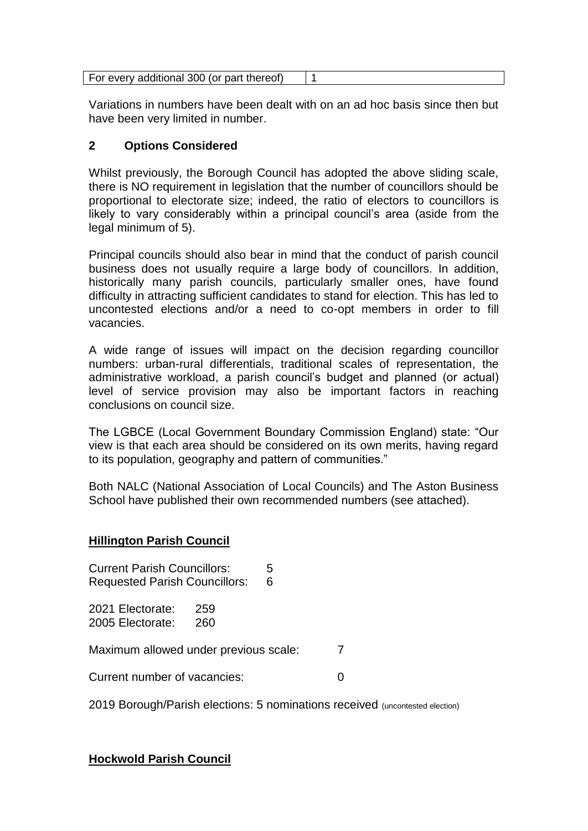| For every additional 300 (or part thereof) |  |
|--------------------------------------------|--|
|--------------------------------------------|--|

Variations in numbers have been dealt with on an ad hoc basis since then but have been very limited in number.

# **2 Options Considered**

Whilst previously, the Borough Council has adopted the above sliding scale, there is NO requirement in legislation that the number of councillors should be proportional to electorate size; indeed, the ratio of electors to councillors is likely to vary considerably within a principal council's area (aside from the legal minimum of 5).

Principal councils should also bear in mind that the conduct of parish council business does not usually require a large body of councillors. In addition, historically many parish councils, particularly smaller ones, have found difficulty in attracting sufficient candidates to stand for election. This has led to uncontested elections and/or a need to co-opt members in order to fill vacancies.

A wide range of issues will impact on the decision regarding councillor numbers: urban-rural differentials, traditional scales of representation, the administrative workload, a parish council's budget and planned (or actual) level of service provision may also be important factors in reaching conclusions on council size.

The LGBCE (Local Government Boundary Commission England) state: "Our view is that each area should be considered on its own merits, having regard to its population, geography and pattern of communities."

Both NALC (National Association of Local Councils) and The Aston Business School have published their own recommended numbers (see attached).

### **Hillington Parish Council**

Current Parish Councillors: 5 Requested Parish Councillors: 6

2021 Electorate: 259 2005 Electorate: 260

Maximum allowed under previous scale: 7

Current number of vacancies: 0

2019 Borough/Parish elections: 5 nominations received (uncontested election)

### **Hockwold Parish Council**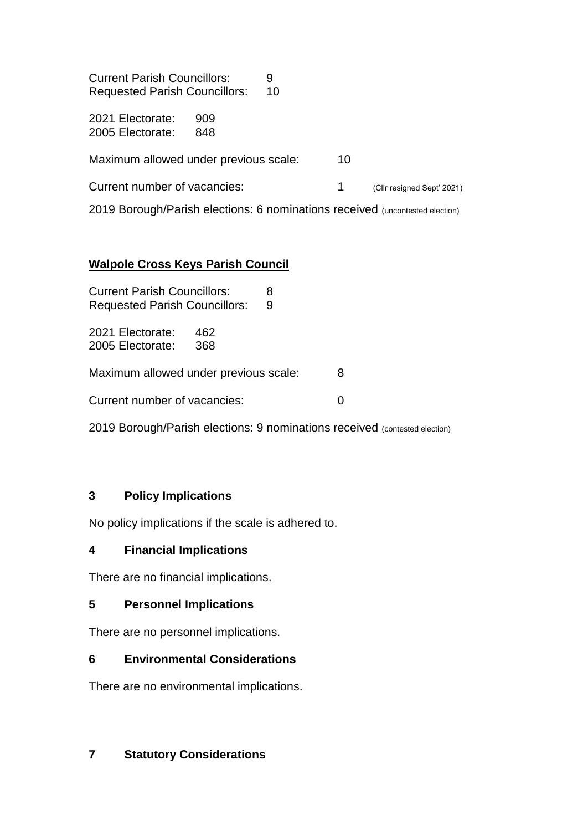| <b>Current Parish Councillors:</b><br><b>Requested Parish Councillors:</b>   | 9<br>10 |    |                            |
|------------------------------------------------------------------------------|---------|----|----------------------------|
| 2021 Electorate:<br>909<br>848<br>2005 Electorate:                           |         |    |                            |
| Maximum allowed under previous scale:                                        |         | 10 |                            |
| Current number of vacancies:                                                 |         | 1  | (Cllr resigned Sept' 2021) |
| 2019 Borough/Parish elections: 6 nominations received (uncontested election) |         |    |                            |

# **Walpole Cross Keys Parish Council**

| <b>Current Parish Councillors:</b><br><b>Requested Parish Councillors:</b> | 8<br>9 |  |
|----------------------------------------------------------------------------|--------|--|
| 2021 Electorate:<br>462<br>2005 Electorate:<br>368                         |        |  |
| Maximum allowed under previous scale:<br>8                                 |        |  |
| Current number of vacancies:                                               |        |  |

2019 Borough/Parish elections: 9 nominations received (contested election)

# **3 Policy Implications**

No policy implications if the scale is adhered to.

# **4 Financial Implications**

There are no financial implications.

# **5 Personnel Implications**

There are no personnel implications.

# **6 Environmental Considerations**

There are no environmental implications.

# **7 Statutory Considerations**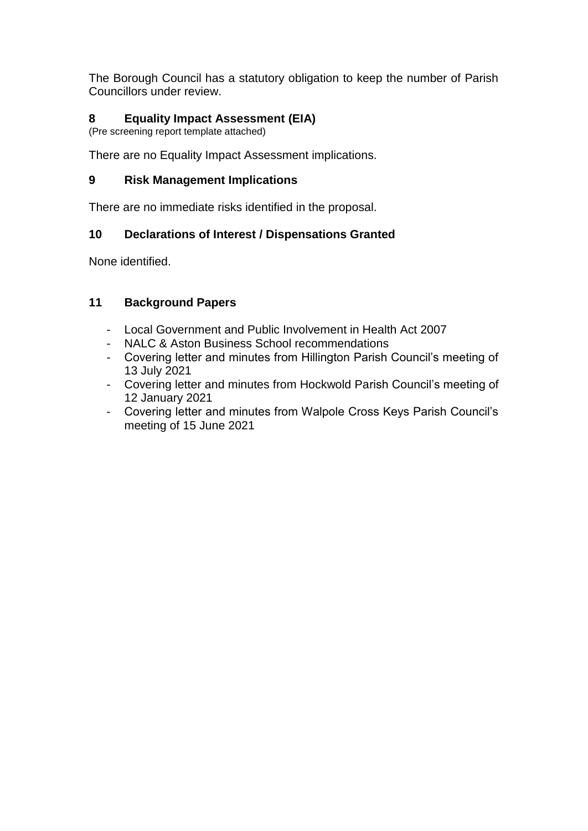The Borough Council has a statutory obligation to keep the number of Parish Councillors under review.

# **8 Equality Impact Assessment (EIA)**

(Pre screening report template attached)

There are no Equality Impact Assessment implications.

## **9 Risk Management Implications**

There are no immediate risks identified in the proposal.

# **10 Declarations of Interest / Dispensations Granted**

None identified.

# **11 Background Papers**

- Local Government and Public Involvement in Health Act 2007
- NALC & Aston Business School recommendations
- Covering letter and minutes from Hillington Parish Council's meeting of 13 July 2021
- Covering letter and minutes from Hockwold Parish Council's meeting of 12 January 2021
- Covering letter and minutes from Walpole Cross Keys Parish Council's meeting of 15 June 2021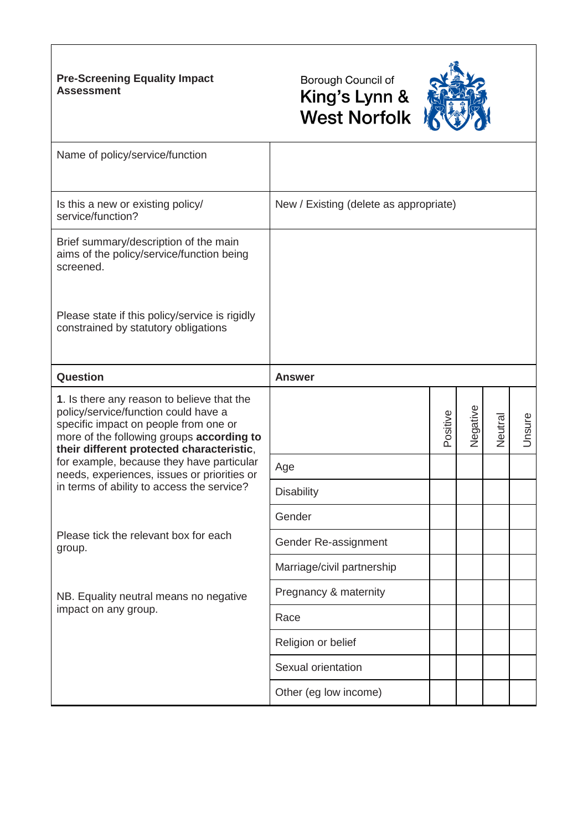### **Pre-Screening Equality Impact Assessment**





| Name of policy/service/function                                                                                                                                                                                       |                                        |          |          |         |        |
|-----------------------------------------------------------------------------------------------------------------------------------------------------------------------------------------------------------------------|----------------------------------------|----------|----------|---------|--------|
| Is this a new or existing policy/<br>service/function?                                                                                                                                                                | New / Existing (delete as appropriate) |          |          |         |        |
| Brief summary/description of the main<br>aims of the policy/service/function being<br>screened.                                                                                                                       |                                        |          |          |         |        |
| Please state if this policy/service is rigidly<br>constrained by statutory obligations                                                                                                                                |                                        |          |          |         |        |
| Question                                                                                                                                                                                                              | <b>Answer</b>                          |          |          |         |        |
| 1. Is there any reason to believe that the<br>policy/service/function could have a<br>specific impact on people from one or<br>more of the following groups according to<br>their different protected characteristic, |                                        | Positive | Negative | Neutral | Unsure |
| for example, because they have particular<br>needs, experiences, issues or priorities or                                                                                                                              | Age                                    |          |          |         |        |
| in terms of ability to access the service?                                                                                                                                                                            | <b>Disability</b>                      |          |          |         |        |
|                                                                                                                                                                                                                       | Gender                                 |          |          |         |        |
| Please tick the relevant box for each<br>group.                                                                                                                                                                       | Gender Re-assignment                   |          |          |         |        |
|                                                                                                                                                                                                                       | Marriage/civil partnership             |          |          |         |        |
| NB. Equality neutral means no negative                                                                                                                                                                                | Pregnancy & maternity                  |          |          |         |        |
| impact on any group.                                                                                                                                                                                                  | Race                                   |          |          |         |        |
|                                                                                                                                                                                                                       | Religion or belief                     |          |          |         |        |
|                                                                                                                                                                                                                       | Sexual orientation                     |          |          |         |        |
|                                                                                                                                                                                                                       | Other (eg low income)                  |          |          |         |        |